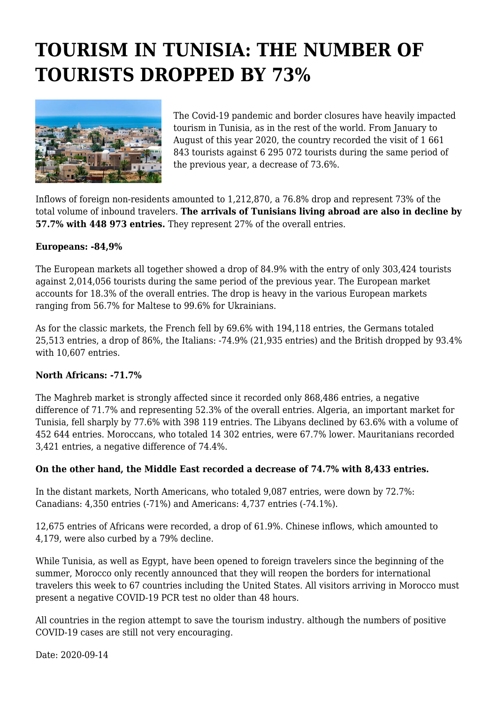## **TOURISM IN TUNISIA: THE NUMBER OF TOURISTS DROPPED BY 73%**



The Covid-19 pandemic and border closures have heavily impacted tourism in Tunisia, as in the rest of the world. From January to August of this year 2020, the country recorded the visit of 1 661 843 tourists against 6 295 072 tourists during the same period of the previous year, a decrease of 73.6%.

Inflows of foreign non-residents amounted to 1,212,870, a 76.8% drop and represent 73% of the total volume of inbound travelers. **The arrivals of Tunisians living abroad are also in decline by 57.7% with 448 973 entries.** They represent 27% of the overall entries.

## **Europeans: -84,9%**

The European markets all together showed a drop of 84.9% with the entry of only 303,424 tourists against 2,014,056 tourists during the same period of the previous year. The European market accounts for 18.3% of the overall entries. The drop is heavy in the various European markets ranging from 56.7% for Maltese to 99.6% for Ukrainians.

As for the classic markets, the French fell by 69.6% with 194,118 entries, the Germans totaled 25,513 entries, a drop of 86%, the Italians: -74.9% (21,935 entries) and the British dropped by 93.4% with 10,607 entries.

## **North Africans: -71.7%**

The Maghreb market is strongly affected since it recorded only 868,486 entries, a negative difference of 71.7% and representing 52.3% of the overall entries. Algeria, an important market for Tunisia, fell sharply by 77.6% with 398 119 entries. The Libyans declined by 63.6% with a volume of 452 644 entries. Moroccans, who totaled 14 302 entries, were 67.7% lower. Mauritanians recorded 3,421 entries, a negative difference of 74.4%.

## **On the other hand, the Middle East recorded a decrease of 74.7% with 8,433 entries.**

In the distant markets, North Americans, who totaled 9,087 entries, were down by 72.7%: Canadians: 4,350 entries (-71%) and Americans: 4,737 entries (-74.1%).

12,675 entries of Africans were recorded, a drop of 61.9%. Chinese inflows, which amounted to 4,179, were also curbed by a 79% decline.

While Tunisia, as well as Egypt, have been opened to foreign travelers since the beginning of the summer, Morocco only recently announced that they will reopen the borders for international travelers this week to 67 countries including the United States. All visitors arriving in Morocco must present a negative COVID-19 PCR test no older than 48 hours.

All countries in the region attempt to save the tourism industry. although the numbers of positive COVID-19 cases are still not very encouraging.

Date: 2020-09-14